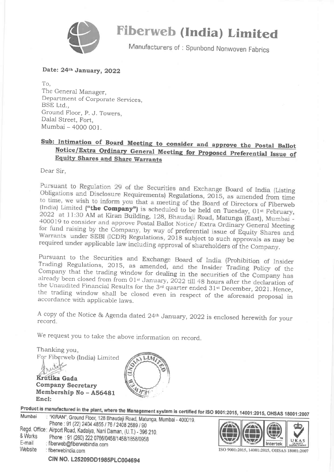

# Fiberweb (India) Limited

Manufacturers of: Spunbond Nonwoven Fabrics

### Date: 24th January, 2022

To, The General Manager, Department of Corporate Services, BSE Ltd., Ground Floor, p. J. Towers, Dalal Street, Fort, Mumbai - 4000 001.

## Sub: Intimation of Board Meeting to consider and approve the Postal Ballot<br>Notice/Extra Ordinary General Meeting for Proposed Preferential Issue of **Equity Shares and Share Warrants**

Dear Sir,

Pursuant to Regulation 29 of the Securities and Exchange Board of India (Listing<br>Obligations and Disclosure Bomines (A) B Obligations and Disclosure Requirements) Regulations, 2015, as amended from time to time, we wish to inform you that a meeting of the Board of Directors of Fiberweb (India) Limited ("the Company") is scheduled to be held on Tuesday,  $01^{st}$  February, 2022 at 11:30 AM at Kiran Building, 128, Bhaudaji Road, Matunga (East), Mumbai -400019 to consider and approve Postal Ballot Notice/ Extra Ordinary General Meeting<br>for fund raising by the Company by the Company of the School Ballot Notice/ Extra Ordinary General Meeting for fund raising by the Company, by way of preferential issue of Equity Shares and<br>Warrants, under SEPI (IODD) Bread of 2011 2012 100 Warrants under SEBI (ICDR) Regulations, 2018 subject to such approvals as may be<br>required under applicable low in the U. required under applicable law including approval of shareholders of the Company.

Pursuant to the Securities and Exchange Board of India (Prohibition of Insider Trading) Regulations, 2015, as amended, and the Insider Trading Policy of the Company that the trading window for dealing in the securities of

<sup>A</sup>copy of the Notice & Agenda dated 24tn January, 2022 is enclosed herewith for your record.

We request you to take the above information on record..

Thanking you, For Fiberweb (India) Limited Krutika Gada Company Secretary Membership No - A56481 aras Encl:

Product is manufactured in the plant, where the Management system is certified for ISO 9001:2015, 14001:2015, OHSAS 18001:2007<br>Mumbai : "KIRAN", Ground Floor, 128 Bhaudaji Road, Matunga, Mumbai - 400019.

| <b>IVIUIIIUAI</b>            | Road, Matunga, Mumbai - 40001 - 40001<br>Phone: 91 (22) 2404 4855 / 76 / 2408 2689 / 90                                                                                   |
|------------------------------|---------------------------------------------------------------------------------------------------------------------------------------------------------------------------|
| & Works<br>E-mail<br>Website | Regd. Office: Airport Road, Kadaiya, Nani Daman, (U.T.) - 396 210.<br>Phone: 91 (260) 222 0766/0458/1458/1858/0958<br>: fiberweb@fiberwebindia.com<br>: fiberwebindia.com |
|                              | CIN NO. L25209DD1985PLC004694                                                                                                                                             |



ISO 9001:2015, 14001:2015, OHSAS 18001:2007